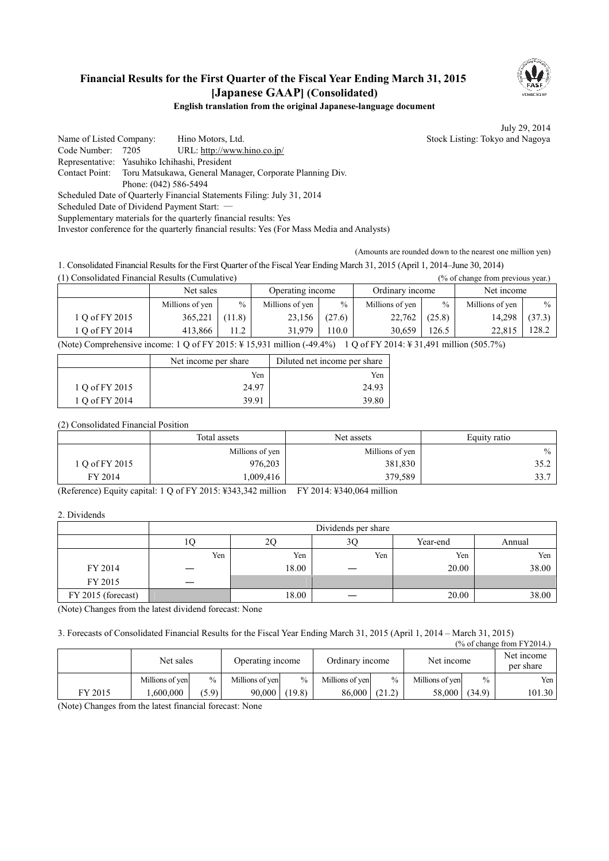## **Financial Results for the First Quarter of the Fiscal Year Ending March 31, 2015 [Japanese GAAP] (Consolidated)**



### **English translation from the original Japanese-language document**

July 29, 2014

Name of Listed Company: Hino Motors, Ltd. Stock Listing: Tokyo and Nagoya Code Number: 7205 URL: http://www.hino.co.jp/ Representative: Yasuhiko Ichihashi, President Contact Point: Toru Matsukawa, General Manager, Corporate Planning Div.

Phone: (042) 586-5494

Scheduled Date of Quarterly Financial Statements Filing: July 31, 2014

Scheduled Date of Dividend Payment Start: ―

Supplementary materials for the quarterly financial results: Yes

Investor conference for the quarterly financial results: Yes (For Mass Media and Analysts)

(Amounts are rounded down to the nearest one million yen)

1. Consolidated Financial Results for the First Quarter of the Fiscal Year Ending March 31, 2015 (April 1, 2014–June 30, 2014)  $\mathbf{C}$  considered Financial Results (Cumulative)

| (1) Consondated Financial Results (Cumulative)<br>(% of change from previous year.) |                 |               |                  |               |                 |        |                 |        |
|-------------------------------------------------------------------------------------|-----------------|---------------|------------------|---------------|-----------------|--------|-----------------|--------|
|                                                                                     | Net sales       |               | Operating income |               | Ordinary income |        | Net income      |        |
|                                                                                     | Millions of yen | $\frac{0}{0}$ | Millions of yen  | $\frac{0}{0}$ | Millions of yen | $\%$   | Millions of yen | $\%$   |
| 1 Q of FY 2015                                                                      | 365,221         | (11.8)        | 23,156           | (27.6)        | 22,762          | (25.8) | 14,298          | (37.3) |
| 1 O of FY 2014                                                                      | 413.866         | 112           | 31.979           | 110.0         | 30.659          | 126.5  | 22.815          | 128.2  |

(Note) Comprehensive income: 1 Q of FY 2015: ¥ 15,931 million (-49.4%) 1 Q of FY 2014: ¥ 31,491 million (505.7%)

|                | Net income per share | Diluted net income per share |
|----------------|----------------------|------------------------------|
|                | Yen                  | Yen                          |
| 1 Q of FY 2015 | 24.97                | 24.93                        |
| 1 Q of FY 2014 | 39.91                | 39.80                        |

(2) Consolidated Financial Position

|                | Total assets    | Net assets      |      |
|----------------|-----------------|-----------------|------|
|                | Millions of yen | Millions of yen | $\%$ |
| 1 O of FY 2015 | 976,203         | 381,830         | 35.2 |
| FY 2014        | 0.009,416       | 379,589         | 33.7 |

(Reference) Equity capital: 1 Q of FY 2015: ¥343,342 million FY 2014: ¥340,064 million

2. Dividends

|                    | Dividends per share |       |     |          |        |  |
|--------------------|---------------------|-------|-----|----------|--------|--|
|                    | 10                  | 2С    | 3Ç  | Year-end | Annual |  |
|                    | Yen                 | Yen   | Yen | Yen      | Yen    |  |
| FY 2014            |                     | 18.00 |     | 20.00    | 38.00  |  |
| FY 2015            |                     |       |     |          |        |  |
| FY 2015 (forecast) |                     | 18.00 |     | 20.00    | 38.00  |  |

(Note) Changes from the latest dividend forecast: None

3. Forecasts of Consolidated Financial Results for the Fiscal Year Ending March 31, 2015 (April 1, 2014 – March 31, 2015)

| $\frac{9}{6}$ of change from FY2014.) |                 |       |                  |        |                 |               |                 |        |                         |
|---------------------------------------|-----------------|-------|------------------|--------|-----------------|---------------|-----------------|--------|-------------------------|
|                                       | Net sales       |       | Operating income |        | Ordinary income |               | Net income      |        | Net income<br>per share |
|                                       | Millions of yen | $\%$  | Millions of yen  | $\%$   | Millions of yen | $\frac{0}{0}$ | Millions of yen | $\%$   | Yen l                   |
| FY 2015                               | .600.000        | (5.9) | 90.000           | (19.8) | 86,000          | (21.2)        | 58,000          | (34.9) | 101.30                  |

(Note) Changes from the latest financial forecast: None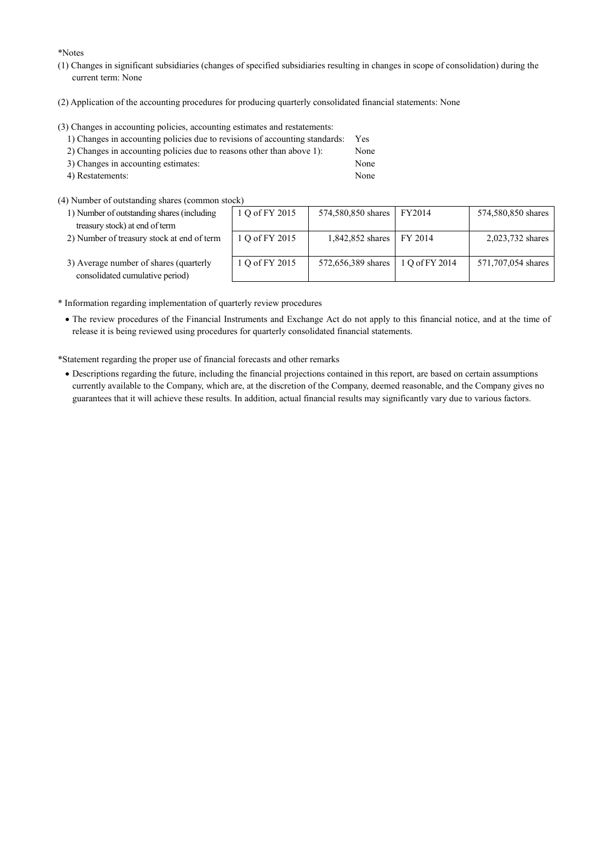\*Notes

- (1) Changes in significant subsidiaries (changes of specified subsidiaries resulting in changes in scope of consolidation) during the current term: None
- (2) Application of the accounting procedures for producing quarterly consolidated financial statements: None

(3) Changes in accounting policies, accounting estimates and restatements:

| 1) Changes in accounting policies due to revisions of accounting standards: | <b>Yes</b> |
|-----------------------------------------------------------------------------|------------|
| 2) Changes in accounting policies due to reasons other than above 1):       | None       |
| 3) Changes in accounting estimates:                                         | None       |

- 4) Restatements: None
- (4) Number of outstanding shares (common stock)
	- 1) Number of outstanding shares (including treasury stock) at end of term
	- 2) Number of treasury stock at end of term

| ルト             |                    |                |                    |
|----------------|--------------------|----------------|--------------------|
| 1 Q of FY 2015 | 574,580,850 shares | FY2014         | 574,580,850 shares |
|                |                    |                |                    |
|                |                    |                |                    |
| 1 Q of FY 2015 | 1,842,852 shares   | FY 2014        | 2,023,732 shares   |
|                |                    |                |                    |
|                |                    |                |                    |
| 1 Q of FY 2015 |                    | 1 Q of FY 2014 | 571,707,054 shares |
|                | 572,656,389 shares |                |                    |
|                |                    |                |                    |
|                |                    |                |                    |

3) Average number of shares (quarterly consolidated cumulative period)

\* Information regarding implementation of quarterly review procedures

· The review procedures of the Financial Instruments and Exchange Act do not apply to this financial notice, and at the time of release it is being reviewed using procedures for quarterly consolidated financial statements.

\*Statement regarding the proper use of financial forecasts and other remarks

· Descriptions regarding the future, including the financial projections contained in this report, are based on certain assumptions currently available to the Company, which are, at the discretion of the Company, deemed reasonable, and the Company gives no guarantees that it will achieve these results. In addition, actual financial results may significantly vary due to various factors.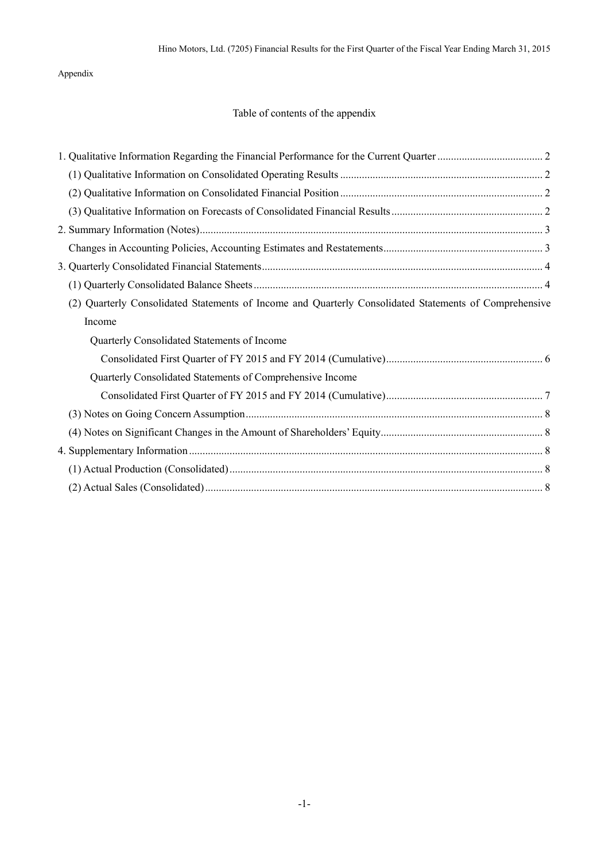## Appendix

# Table of contents of the appendix

| (2) Quarterly Consolidated Statements of Income and Quarterly Consolidated Statements of Comprehensive |  |
|--------------------------------------------------------------------------------------------------------|--|
| Income                                                                                                 |  |
| Quarterly Consolidated Statements of Income                                                            |  |
|                                                                                                        |  |
| Quarterly Consolidated Statements of Comprehensive Income                                              |  |
|                                                                                                        |  |
|                                                                                                        |  |
|                                                                                                        |  |
|                                                                                                        |  |
|                                                                                                        |  |
|                                                                                                        |  |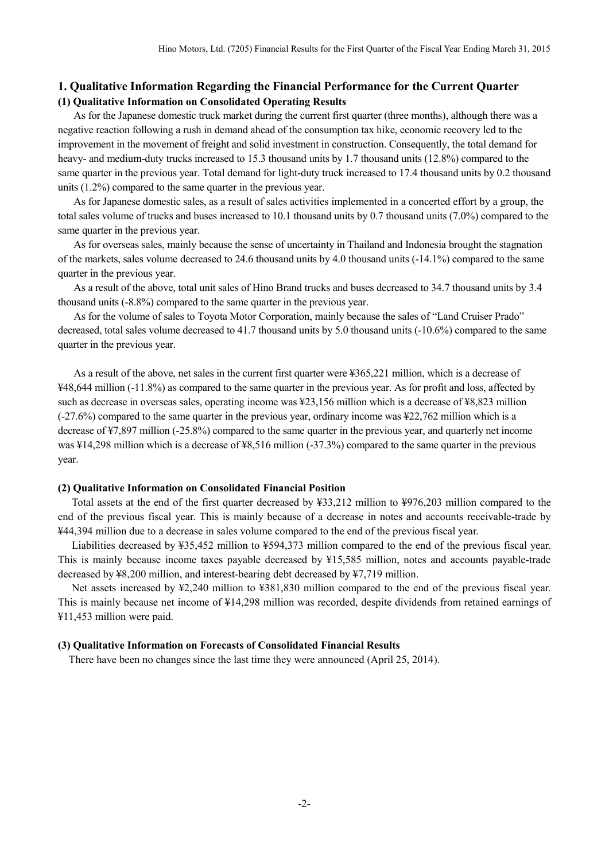## **1. Qualitative Information Regarding the Financial Performance for the Current Quarter (1) Qualitative Information on Consolidated Operating Results**

As for the Japanese domestic truck market during the current first quarter (three months), although there was a negative reaction following a rush in demand ahead of the consumption tax hike, economic recovery led to the improvement in the movement of freight and solid investment in construction. Consequently, the total demand for heavy- and medium-duty trucks increased to 15.3 thousand units by 1.7 thousand units (12.8%) compared to the same quarter in the previous year. Total demand for light-duty truck increased to 17.4 thousand units by 0.2 thousand units (1.2%) compared to the same quarter in the previous year.

As for Japanese domestic sales, as a result of sales activities implemented in a concerted effort by a group, the total sales volume of trucks and buses increased to 10.1 thousand units by 0.7 thousand units (7.0%) compared to the same quarter in the previous year.

As for overseas sales, mainly because the sense of uncertainty in Thailand and Indonesia brought the stagnation of the markets, sales volume decreased to 24.6 thousand units by 4.0 thousand units (-14.1%) compared to the same quarter in the previous year.

As a result of the above, total unit sales of Hino Brand trucks and buses decreased to 34.7 thousand units by 3.4 thousand units (-8.8%) compared to the same quarter in the previous year.

As for the volume of sales to Toyota Motor Corporation, mainly because the sales of "Land Cruiser Prado" decreased, total sales volume decreased to 41.7 thousand units by 5.0 thousand units (-10.6%) compared to the same quarter in the previous year.

As a result of the above, net sales in the current first quarter were ¥365,221 million, which is a decrease of ¥48,644 million (-11.8%) as compared to the same quarter in the previous year. As for profit and loss, affected by such as decrease in overseas sales, operating income was ¥23,156 million which is a decrease of ¥8,823 million (-27.6%) compared to the same quarter in the previous year, ordinary income was ¥22,762 million which is a decrease of ¥7,897 million (-25.8%) compared to the same quarter in the previous year, and quarterly net income was ¥14,298 million which is a decrease of ¥8,516 million (-37.3%) compared to the same quarter in the previous year.

### **(2) Qualitative Information on Consolidated Financial Position**

Total assets at the end of the first quarter decreased by ¥33,212 million to ¥976,203 million compared to the end of the previous fiscal year. This is mainly because of a decrease in notes and accounts receivable-trade by ¥44,394 million due to a decrease in sales volume compared to the end of the previous fiscal year.

Liabilities decreased by ¥35,452 million to ¥594,373 million compared to the end of the previous fiscal year. This is mainly because income taxes payable decreased by ¥15,585 million, notes and accounts payable-trade decreased by ¥8,200 million, and interest-bearing debt decreased by ¥7,719 million.

Net assets increased by ¥2,240 million to ¥381,830 million compared to the end of the previous fiscal year. This is mainly because net income of ¥14,298 million was recorded, despite dividends from retained earnings of ¥11,453 million were paid.

#### **(3) Qualitative Information on Forecasts of Consolidated Financial Results**

There have been no changes since the last time they were announced (April 25, 2014).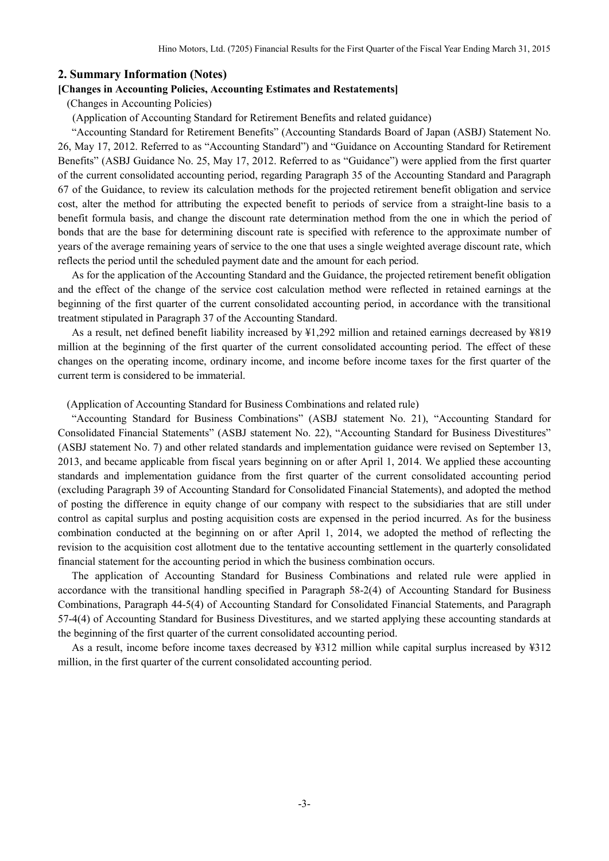### **2. Summary Information (Notes)**

### **[Changes in Accounting Policies, Accounting Estimates and Restatements]**

(Changes in Accounting Policies)

(Application of Accounting Standard for Retirement Benefits and related guidance)

"Accounting Standard for Retirement Benefits" (Accounting Standards Board of Japan (ASBJ) Statement No. 26, May 17, 2012. Referred to as "Accounting Standard") and "Guidance on Accounting Standard for Retirement Benefits" (ASBJ Guidance No. 25, May 17, 2012. Referred to as "Guidance") were applied from the first quarter of the current consolidated accounting period, regarding Paragraph 35 of the Accounting Standard and Paragraph 67 of the Guidance, to review its calculation methods for the projected retirement benefit obligation and service cost, alter the method for attributing the expected benefit to periods of service from a straight-line basis to a benefit formula basis, and change the discount rate determination method from the one in which the period of bonds that are the base for determining discount rate is specified with reference to the approximate number of years of the average remaining years of service to the one that uses a single weighted average discount rate, which reflects the period until the scheduled payment date and the amount for each period.

As for the application of the Accounting Standard and the Guidance, the projected retirement benefit obligation and the effect of the change of the service cost calculation method were reflected in retained earnings at the beginning of the first quarter of the current consolidated accounting period, in accordance with the transitional treatment stipulated in Paragraph 37 of the Accounting Standard.

As a result, net defined benefit liability increased by ¥1,292 million and retained earnings decreased by ¥819 million at the beginning of the first quarter of the current consolidated accounting period. The effect of these changes on the operating income, ordinary income, and income before income taxes for the first quarter of the current term is considered to be immaterial.

(Application of Accounting Standard for Business Combinations and related rule)

"Accounting Standard for Business Combinations" (ASBJ statement No. 21), "Accounting Standard for Consolidated Financial Statements" (ASBJ statement No. 22), "Accounting Standard for Business Divestitures" (ASBJ statement No. 7) and other related standards and implementation guidance were revised on September 13, 2013, and became applicable from fiscal years beginning on or after April 1, 2014. We applied these accounting standards and implementation guidance from the first quarter of the current consolidated accounting period (excluding Paragraph 39 of Accounting Standard for Consolidated Financial Statements), and adopted the method of posting the difference in equity change of our company with respect to the subsidiaries that are still under control as capital surplus and posting acquisition costs are expensed in the period incurred. As for the business combination conducted at the beginning on or after April 1, 2014, we adopted the method of reflecting the revision to the acquisition cost allotment due to the tentative accounting settlement in the quarterly consolidated financial statement for the accounting period in which the business combination occurs.

The application of Accounting Standard for Business Combinations and related rule were applied in accordance with the transitional handling specified in Paragraph 58-2(4) of Accounting Standard for Business Combinations, Paragraph 44-5(4) of Accounting Standard for Consolidated Financial Statements, and Paragraph 57-4(4) of Accounting Standard for Business Divestitures, and we started applying these accounting standards at the beginning of the first quarter of the current consolidated accounting period.

As a result, income before income taxes decreased by ¥312 million while capital surplus increased by ¥312 million, in the first quarter of the current consolidated accounting period.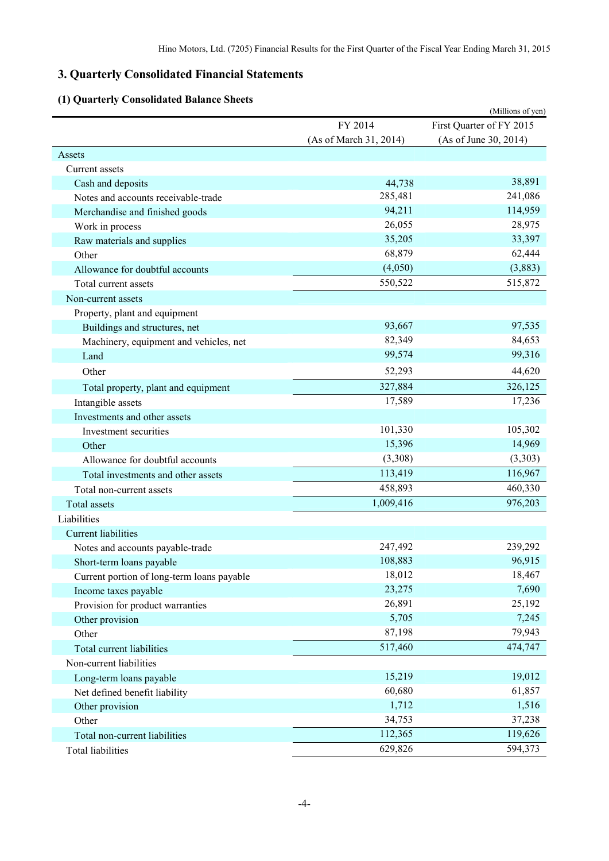# **3. Quarterly Consolidated Financial Statements**

# **(1) Quarterly Consolidated Balance Sheets**

| Oual terry Consonaated Dalance SI          |                        | (Millions of yen)        |
|--------------------------------------------|------------------------|--------------------------|
|                                            | FY 2014                | First Quarter of FY 2015 |
|                                            | (As of March 31, 2014) | (As of June 30, 2014)    |
| Assets                                     |                        |                          |
| Current assets                             |                        |                          |
| Cash and deposits                          | 44,738                 | 38,891                   |
| Notes and accounts receivable-trade        | 285,481                | 241,086                  |
| Merchandise and finished goods             | 94,211                 | 114,959                  |
| Work in process                            | 26,055                 | 28,975                   |
| Raw materials and supplies                 | 35,205                 | 33,397                   |
| Other                                      | 68,879                 | 62,444                   |
| Allowance for doubtful accounts            | (4,050)                | (3,883)                  |
| Total current assets                       | 550,522                | 515,872                  |
| Non-current assets                         |                        |                          |
| Property, plant and equipment              |                        |                          |
| Buildings and structures, net              | 93,667                 | 97,535                   |
| Machinery, equipment and vehicles, net     | 82,349                 | 84,653                   |
| Land                                       | 99,574                 | 99,316                   |
| Other                                      | 52,293                 | 44,620                   |
| Total property, plant and equipment        | 327,884                | 326,125                  |
| Intangible assets                          | 17,589                 | 17,236                   |
| Investments and other assets               |                        |                          |
| Investment securities                      | 101,330                | 105,302                  |
| Other                                      | 15,396                 | 14,969                   |
| Allowance for doubtful accounts            | (3,308)                | (3,303)                  |
| Total investments and other assets         | 113,419                | 116,967                  |
| Total non-current assets                   | 458,893                | 460,330                  |
| Total assets                               | 1,009,416              | 976,203                  |
| Liabilities                                |                        |                          |
| <b>Current liabilities</b>                 |                        |                          |
| Notes and accounts payable-trade           | 247,492                | 239,292                  |
| Short-term loans payable                   | 108,883                | 96,915                   |
| Current portion of long-term loans payable | 18,012                 | 18,467                   |
| Income taxes payable                       | 23,275                 | 7,690                    |
| Provision for product warranties           | 26,891                 | 25,192                   |
| Other provision                            | 5,705                  | 7,245                    |
| Other                                      | 87,198                 | 79,943                   |
| Total current liabilities                  | 517,460                | 474,747                  |
| Non-current liabilities                    |                        |                          |
| Long-term loans payable                    | 15,219                 | 19,012                   |
| Net defined benefit liability              | 60,680                 | 61,857                   |
| Other provision                            | 1,712                  | 1,516                    |
| Other                                      | 34,753                 | 37,238                   |
| Total non-current liabilities              | 112,365                | 119,626                  |
| Total liabilities                          | 629,826                | 594,373                  |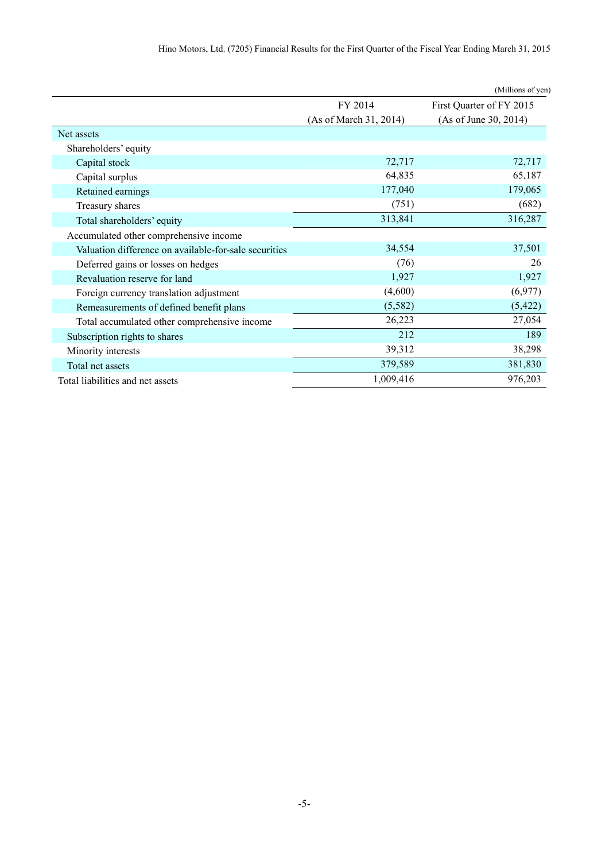|                                                       |                        | (Millions of yen)        |
|-------------------------------------------------------|------------------------|--------------------------|
|                                                       | FY 2014                | First Quarter of FY 2015 |
|                                                       | (As of March 31, 2014) | (As of June 30, 2014)    |
| Net assets                                            |                        |                          |
| Shareholders' equity                                  |                        |                          |
| Capital stock                                         | 72,717                 | 72,717                   |
| Capital surplus                                       | 64,835                 | 65,187                   |
| Retained earnings                                     | 177,040                | 179,065                  |
| Treasury shares                                       | (751)                  | (682)                    |
| Total shareholders' equity                            | 313,841                | 316,287                  |
| Accumulated other comprehensive income                |                        |                          |
| Valuation difference on available-for-sale securities | 34,554                 | 37,501                   |
| Deferred gains or losses on hedges                    | (76)                   | 26                       |
| Revaluation reserve for land                          | 1,927                  | 1,927                    |
| Foreign currency translation adjustment               | (4,600)                | (6,977)                  |
| Remeasurements of defined benefit plans               | (5,582)                | (5, 422)                 |
| Total accumulated other comprehensive income          | 26,223                 | 27,054                   |
| Subscription rights to shares                         | 212                    | 189                      |
| Minority interests                                    | 39,312                 | 38,298                   |
| Total net assets                                      | 379,589                | 381,830                  |
| Total liabilities and net assets                      | 1,009,416              | 976,203                  |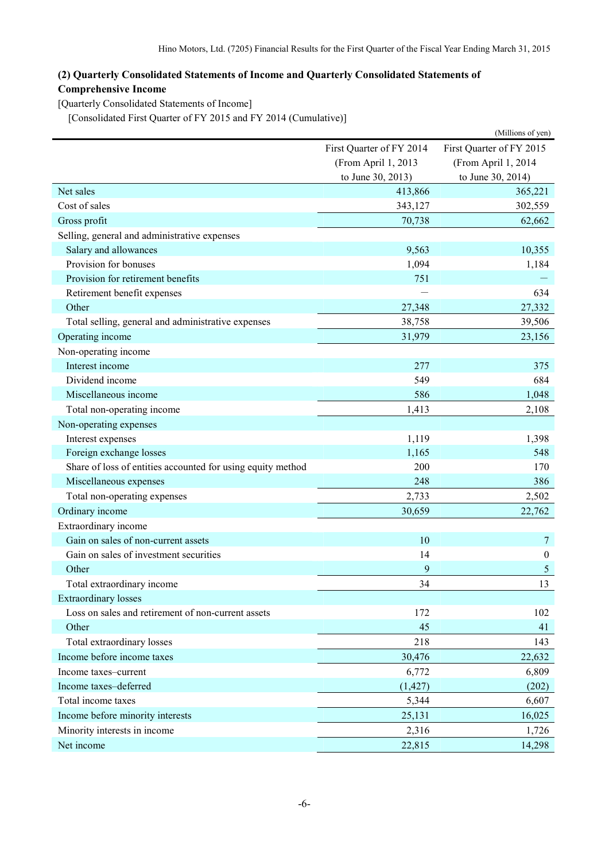# **(2) Quarterly Consolidated Statements of Income and Quarterly Consolidated Statements of Comprehensive Income**

[Quarterly Consolidated Statements of Income]

[Consolidated First Quarter of FY 2015 and FY 2014 (Cumulative)]

|                                                             |                          | (Millions of yen)        |
|-------------------------------------------------------------|--------------------------|--------------------------|
|                                                             | First Quarter of FY 2014 | First Quarter of FY 2015 |
|                                                             | (From April 1, 2013      | (From April 1, 2014      |
|                                                             | to June 30, 2013)        | to June 30, 2014)        |
| Net sales                                                   | 413,866                  | 365,221                  |
| Cost of sales                                               | 343,127                  | 302,559                  |
| Gross profit                                                | 70,738                   | 62,662                   |
| Selling, general and administrative expenses                |                          |                          |
| Salary and allowances                                       | 9,563                    | 10,355                   |
| Provision for bonuses                                       | 1,094                    | 1,184                    |
| Provision for retirement benefits                           | 751                      |                          |
| Retirement benefit expenses                                 |                          | 634                      |
| Other                                                       | 27,348                   | 27,332                   |
| Total selling, general and administrative expenses          | 38,758                   | 39,506                   |
| Operating income                                            | 31,979                   | 23,156                   |
| Non-operating income                                        |                          |                          |
| Interest income                                             | 277                      | 375                      |
| Dividend income                                             | 549                      | 684                      |
| Miscellaneous income                                        | 586                      | 1,048                    |
| Total non-operating income                                  | 1,413                    | 2,108                    |
| Non-operating expenses                                      |                          |                          |
| Interest expenses                                           | 1,119                    | 1,398                    |
| Foreign exchange losses                                     | 1,165                    | 548                      |
| Share of loss of entities accounted for using equity method | 200                      | 170                      |
| Miscellaneous expenses                                      | 248                      | 386                      |
| Total non-operating expenses                                | 2,733                    | 2,502                    |
| Ordinary income                                             | 30,659                   | 22,762                   |
| Extraordinary income                                        |                          |                          |
| Gain on sales of non-current assets                         | 10                       | 7                        |
| Gain on sales of investment securities                      | 14                       | $\boldsymbol{0}$         |
| Other                                                       | 9                        | 5                        |
| Total extraordinary income                                  | 34                       | 13                       |
| <b>Extraordinary losses</b>                                 |                          |                          |
| Loss on sales and retirement of non-current assets          | 172                      | 102                      |
| Other                                                       | 45                       | 41                       |
| Total extraordinary losses                                  | 218                      | 143                      |
| Income before income taxes                                  | 30,476                   | 22,632                   |
| Income taxes-current                                        | 6,772                    | 6,809                    |
| Income taxes-deferred                                       | (1, 427)                 | (202)                    |
| Total income taxes                                          | 5,344                    | 6,607                    |
| Income before minority interests                            | 25,131                   | 16,025                   |
| Minority interests in income                                | 2,316                    | 1,726                    |
| Net income                                                  | 22,815                   | 14,298                   |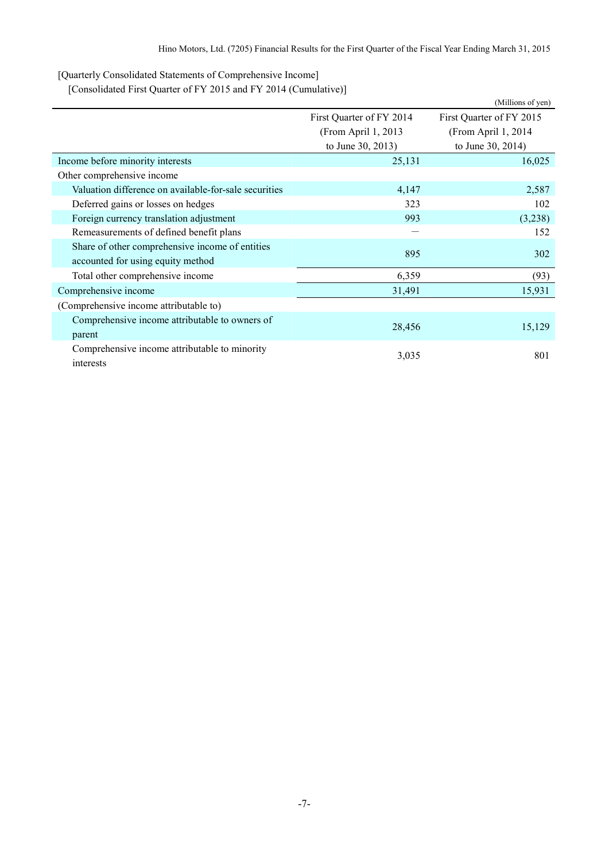[Quarterly Consolidated Statements of Comprehensive Income]

[Consolidated First Quarter of FY 2015 and FY 2014 (Cumulative)]

|                                                       |                          | (Millions of yen)        |
|-------------------------------------------------------|--------------------------|--------------------------|
|                                                       | First Quarter of FY 2014 | First Quarter of FY 2015 |
|                                                       | (From April 1, 2013)     | (From April 1, 2014)     |
|                                                       | to June 30, 2013)        | to June 30, 2014)        |
| Income before minority interests                      | 25,131                   | 16,025                   |
| Other comprehensive income                            |                          |                          |
| Valuation difference on available-for-sale securities | 4,147                    | 2,587                    |
| Deferred gains or losses on hedges                    | 323                      | 102                      |
| Foreign currency translation adjustment               | 993                      | (3,238)                  |
| Remeasurements of defined benefit plans               |                          | 152                      |
| Share of other comprehensive income of entities       | 895                      | 302                      |
| accounted for using equity method                     |                          |                          |
| Total other comprehensive income                      | 6,359                    | (93)                     |
| Comprehensive income                                  | 31,491                   | 15,931                   |
| (Comprehensive income attributable to)                |                          |                          |
| Comprehensive income attributable to owners of        |                          |                          |
| parent                                                | 28,456                   | 15,129                   |
| Comprehensive income attributable to minority         |                          | 801                      |
| interests                                             | 3,035                    |                          |